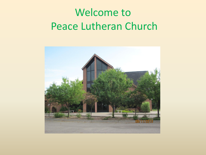# Welcome to Peace Lutheran Church

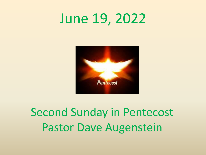# June 19, 2022



# Second Sunday in Pentecost Pastor Dave Augenstein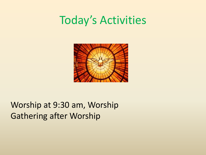## Today's Activities



#### Worship at 9:30 am, Worship Gathering after Worship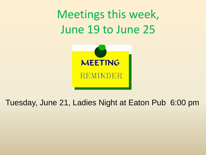Meetings this week, June 19 to June 25



#### Tuesday, June 21, Ladies Night at Eaton Pub 6:00 pm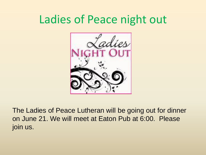# Ladies of Peace night out



The Ladies of Peace Lutheran will be going out for dinner on June 21. We will meet at Eaton Pub at 6:00. Please join us.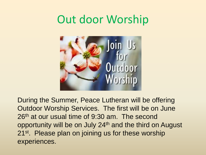# Out door Worship



During the Summer, Peace Lutheran will be offering Outdoor Worship Services. The first will be on June 26<sup>th</sup> at our usual time of 9:30 am. The second opportunity will be on July 24<sup>th</sup> and the third on August 21<sup>st</sup>. Please plan on joining us for these worship experiences.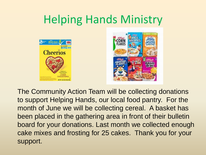# Helping Hands Ministry





The Community Action Team will be collecting donations to support Helping Hands, our local food pantry. For the month of June we will be collecting cereal. A basket has been placed in the gathering area in front of their bulletin board for your donations. Last month we collected enough cake mixes and frosting for 25 cakes. Thank you for your support.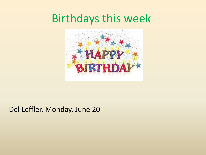### Birthdays this week



#### Del Leffler, Monday, June 20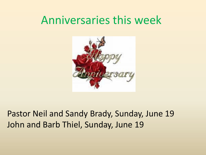### Anniversaries this week



#### Pastor Neil and Sandy Brady, Sunday, June 19 John and Barb Thiel, Sunday, June 19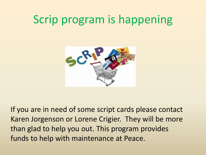# Scrip program is happening



If you are in need of some script cards please contact Karen Jorgenson or Lorene Crigier. They will be more than glad to help you out. This program provides funds to help with maintenance at Peace.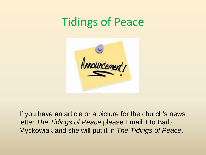# Tidings of Peace



If you have an article or a picture for the church's news letter *The Tidings of Peace* please Email it to Barb Myckowiak and she will put it in *The Tidings of Peace*.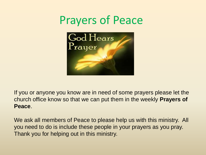



If you or anyone you know are in need of some prayers please let the church office know so that we can put them in the weekly **Prayers of Peace**.

We ask all members of Peace to please help us with this ministry. All you need to do is include these people in your prayers as you pray. Thank you for helping out in this ministry.